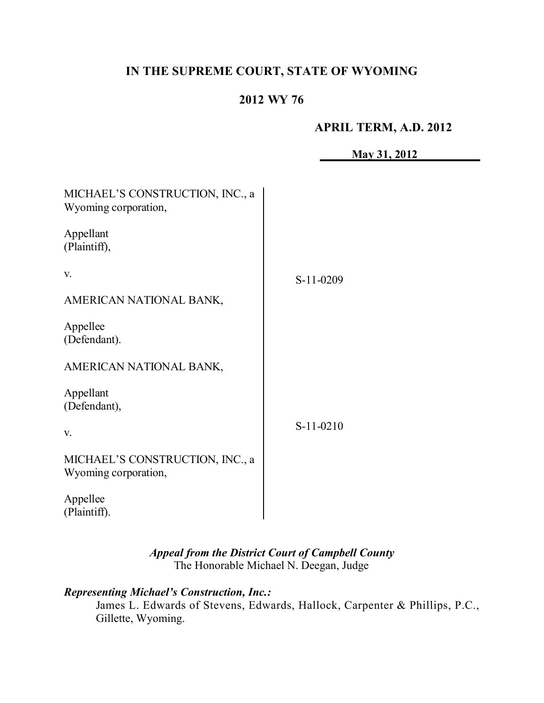# **IN THE SUPREME COURT, STATE OF WYOMING**

# **2012 WY 76**

#### **APRIL TERM, A.D. 2012**

|                                                         | May 31, 2012 |
|---------------------------------------------------------|--------------|
|                                                         |              |
| MICHAEL'S CONSTRUCTION, INC., a<br>Wyoming corporation, |              |
| Appellant<br>(Plaintiff),                               |              |
| V.                                                      | S-11-0209    |
| AMERICAN NATIONAL BANK,                                 |              |
| Appellee<br>(Defendant).                                |              |
| AMERICAN NATIONAL BANK,                                 |              |
| Appellant<br>(Defendant),                               |              |
| V.                                                      | $S-11-0210$  |
| MICHAEL'S CONSTRUCTION, INC., a<br>Wyoming corporation, |              |
| Appellee<br>(Plaintiff).                                |              |

*Appeal from the District Court of Campbell County* The Honorable Michael N. Deegan, Judge

# *Representing Michael's Construction, Inc.:*

James L. Edwards of Stevens, Edwards, Hallock, Carpenter & Phillips, P.C., Gillette, Wyoming.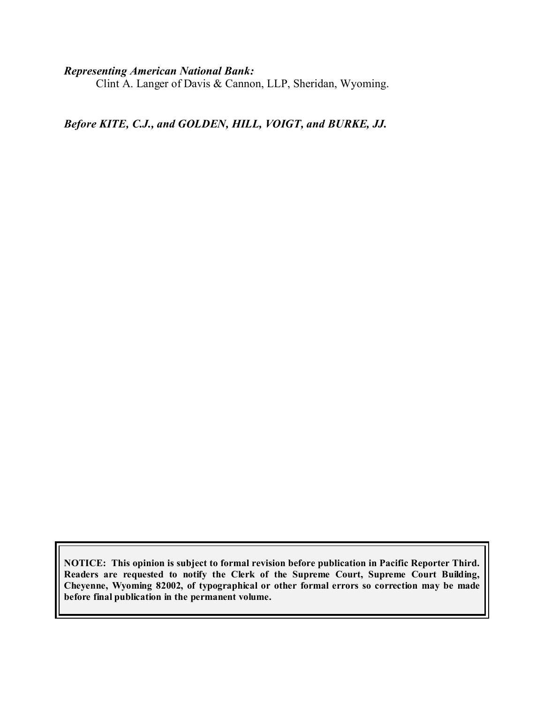#### *Representing American National Bank:*

Clint A. Langer of Davis & Cannon, LLP, Sheridan, Wyoming.

*Before KITE, C.J., and GOLDEN, HILL, VOIGT, and BURKE, JJ.*

**NOTICE: This opinion is subject to formal revision before publication in Pacific Reporter Third. Readers are requested to notify the Clerk of the Supreme Court, Supreme Court Building, Cheyenne, Wyoming 82002, of typographical or other formal errors so correction may be made before final publication in the permanent volume.**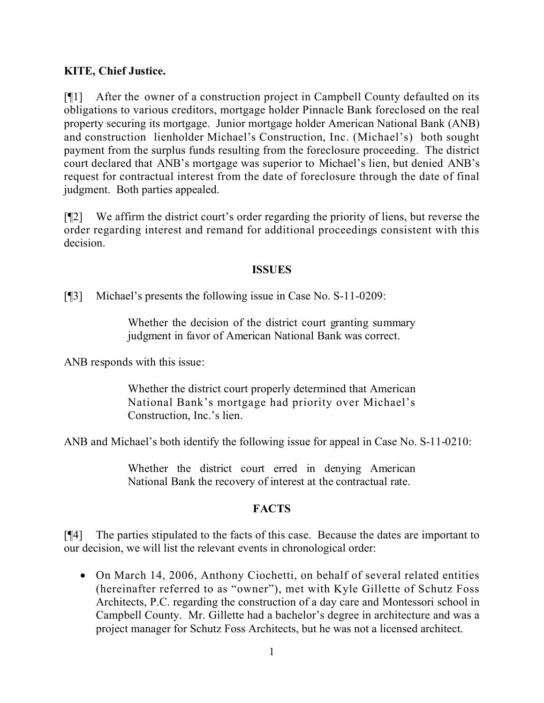### **KITE, Chief Justice.**

[¶1] After the owner of a construction project in Campbell County defaulted on its obligations to various creditors, mortgage holder Pinnacle Bank foreclosed on the real property securing its mortgage. Junior mortgage holder American National Bank (ANB) and construction lienholder Michael's Construction, Inc. (Michael's) both sought payment from the surplus funds resulting from the foreclosure proceeding. The district court declared that ANB's mortgage was superior to Michael's lien, but denied ANB's request for contractual interest from the date of foreclosure through the date of final judgment. Both parties appealed.

[¶2] We affirm the district court's order regarding the priority of liens, but reverse the order regarding interest and remand for additional proceedings consistent with this decision.

#### **ISSUES**

[¶3] Michael's presents the following issue in Case No. S-11-0209:

Whether the decision of the district court granting summary judgment in favor of American National Bank was correct.

ANB responds with this issue:

Whether the district court properly determined that American National Bank's mortgage had priority over Michael's Construction, Inc.'s lien.

ANB and Michael's both identify the following issue for appeal in Case No. S-11-0210:

Whether the district court erred in denying American National Bank the recovery of interest at the contractual rate.

### **FACTS**

[¶4] The parties stipulated to the facts of this case. Because the dates are important to our decision, we will list the relevant events in chronological order:

• On March 14, 2006, Anthony Ciochetti, on behalf of several related entities (hereinafter referred to as "owner"), met with Kyle Gillette of Schutz Foss Architects, P.C. regarding the construction of a day care and Montessori school in Campbell County. Mr. Gillette had a bachelor's degree in architecture and was a project manager for Schutz Foss Architects, but he was not a licensed architect.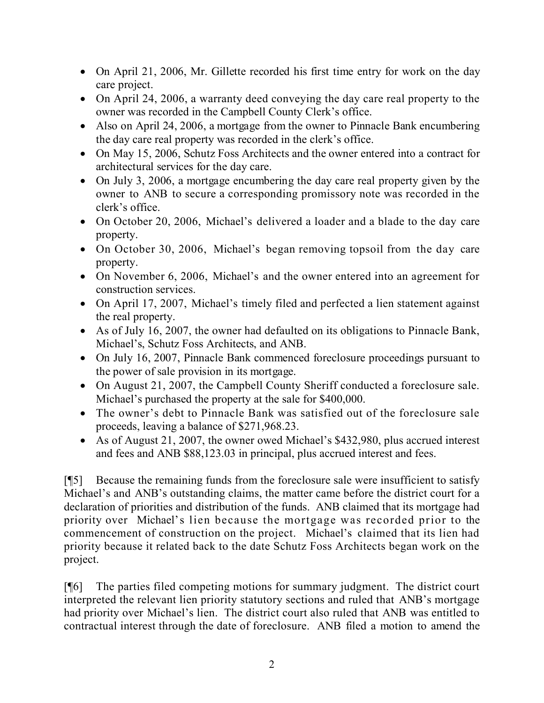- On April 21, 2006, Mr. Gillette recorded his first time entry for work on the day care project.
- On April 24, 2006, a warranty deed conveying the day care real property to the owner was recorded in the Campbell County Clerk's office.
- Also on April 24, 2006, a mortgage from the owner to Pinnacle Bank encumbering the day care real property was recorded in the clerk's office.
- On May 15, 2006, Schutz Foss Architects and the owner entered into a contract for architectural services for the day care.
- On July 3, 2006, a mortgage encumbering the day care real property given by the owner to ANB to secure a corresponding promissory note was recorded in the clerk's office.
- On October 20, 2006, Michael's delivered a loader and a blade to the day care property.
- On October 30, 2006, Michael's began removing topsoil from the day care property.
- On November 6, 2006, Michael's and the owner entered into an agreement for construction services.
- On April 17, 2007, Michael's timely filed and perfected a lien statement against the real property.
- As of July 16, 2007, the owner had defaulted on its obligations to Pinnacle Bank, Michael's, Schutz Foss Architects, and ANB.
- On July 16, 2007, Pinnacle Bank commenced foreclosure proceedings pursuant to the power of sale provision in its mortgage.
- On August 21, 2007, the Campbell County Sheriff conducted a foreclosure sale. Michael's purchased the property at the sale for \$400,000.
- The owner's debt to Pinnacle Bank was satisfied out of the foreclosure sale proceeds, leaving a balance of \$271,968.23.
- As of August 21, 2007, the owner owed Michael's \$432,980, plus accrued interest and fees and ANB \$88,123.03 in principal, plus accrued interest and fees.

[¶5] Because the remaining funds from the foreclosure sale were insufficient to satisfy Michael's and ANB's outstanding claims, the matter came before the district court for a declaration of priorities and distribution of the funds. ANB claimed that its mortgage had priority over Michael's lien because the mortgage was recorded prior to the commencement of construction on the project. Michael's claimed that its lien had priority because it related back to the date Schutz Foss Architects began work on the project.

[¶6] The parties filed competing motions for summary judgment. The district court interpreted the relevant lien priority statutory sections and ruled that ANB's mortgage had priority over Michael's lien. The district court also ruled that ANB was entitled to contractual interest through the date of foreclosure. ANB filed a motion to amend the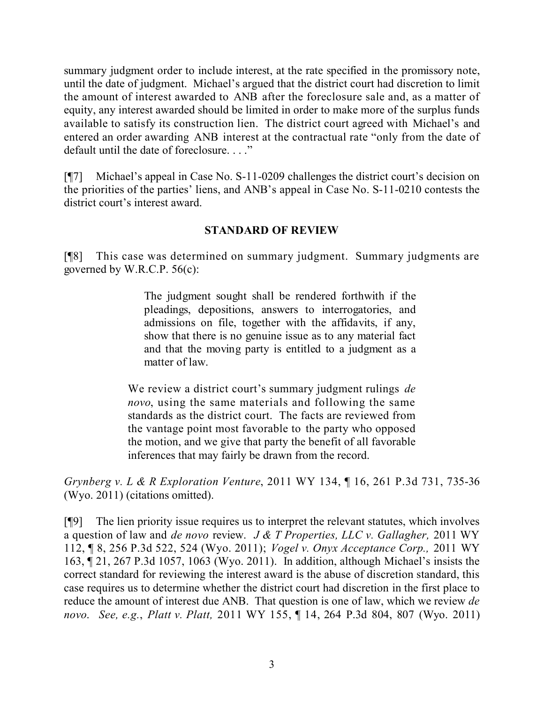summary judgment order to include interest, at the rate specified in the promissory note, until the date of judgment. Michael's argued that the district court had discretion to limit the amount of interest awarded to ANB after the foreclosure sale and, as a matter of equity, any interest awarded should be limited in order to make more of the surplus funds available to satisfy its construction lien. The district court agreed with Michael's and entered an order awarding ANB interest at the contractual rate "only from the date of default until the date of foreclosure. . . ."

[¶7] Michael's appeal in Case No. S-11-0209 challenges the district court's decision on the priorities of the parties' liens, and ANB's appeal in Case No. S-11-0210 contests the district court's interest award.

## **STANDARD OF REVIEW**

[¶8] This case was determined on summary judgment. Summary judgments are governed by W.R.C.P. 56(c):

> The judgment sought shall be rendered forthwith if the pleadings, depositions, answers to interrogatories, and admissions on file, together with the affidavits, if any, show that there is no genuine issue as to any material fact and that the moving party is entitled to a judgment as a matter of law.

We review a district court's summary judgment rulings *de novo*, using the same materials and following the same standards as the district court. The facts are reviewed from the vantage point most favorable to the party who opposed the motion, and we give that party the benefit of all favorable inferences that may fairly be drawn from the record.

*Grynberg v. L & R Exploration Venture*, 2011 WY 134, ¶ 16, 261 P.3d 731, 735-36 (Wyo. 2011) (citations omitted).

[¶9] The lien priority issue requires us to interpret the relevant statutes, which involves a question of law and *de novo* review. *J & T Properties, LLC v. Gallagher,* 2011 WY 112, ¶ 8, 256 P.3d 522, 524 (Wyo. 2011); *Vogel v. Onyx Acceptance Corp.,* 2011 WY 163, ¶ 21, 267 P.3d 1057, 1063 (Wyo. 2011). In addition, although Michael's insists the correct standard for reviewing the interest award is the abuse of discretion standard, this case requires us to determine whether the district court had discretion in the first place to reduce the amount of interest due ANB. That question is one of law, which we review *de novo*. *See, e.g.*, *Platt v. Platt,* 2011 WY 155, ¶ 14, 264 P.3d 804, 807 (Wyo. 2011)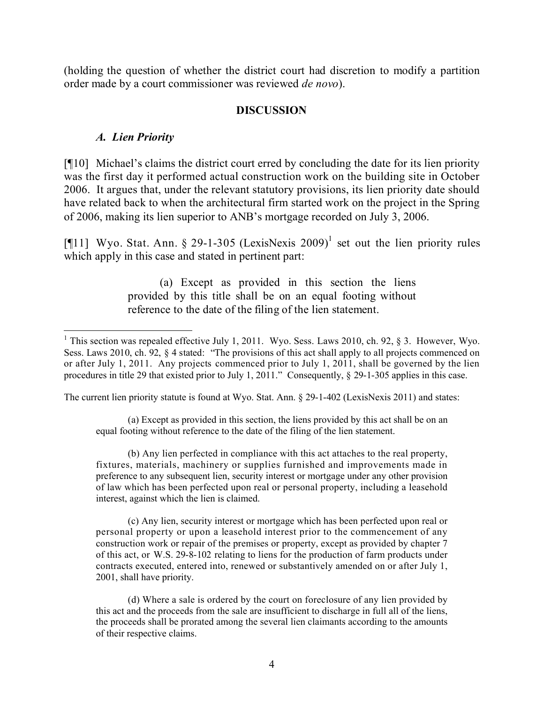(holding the question of whether the district court had discretion to modify a partition order made by a court commissioner was reviewed *de novo*).

### **DISCUSSION**

### *A. Lien Priority*

[¶10] Michael's claims the district court erred by concluding the date for its lien priority was the first day it performed actual construction work on the building site in October 2006. It argues that, under the relevant statutory provisions, its lien priority date should have related back to when the architectural firm started work on the project in the Spring of 2006, making its lien superior to ANB's mortgage recorded on July 3, 2006.

[¶11] Wyo. Stat. Ann. § 29-1-305 (LexisNexis 2009)<sup>1</sup> set out the lien priority rules which apply in this case and stated in pertinent part:

> (a) Except as provided in this section the liens provided by this title shall be on an equal footing without reference to the date of the filing of the lien statement.

The current lien priority statute is found at Wyo. Stat. Ann. § 29-1-402 (LexisNexis 2011) and states:

(a) Except as provided in this section, the liens provided by this act shall be on an equal footing without reference to the date of the filing of the lien statement.

(b) Any lien perfected in compliance with this act attaches to the real property, fixtures, materials, machinery or supplies furnished and improvements made in preference to any subsequent lien, security interest or mortgage under any other provision of law which has been perfected upon real or personal property, including a leasehold interest, against which the lien is claimed.

(c) Any lien, security interest or mortgage which has been perfected upon real or personal property or upon a leasehold interest prior to the commencement of any construction work or repair of the premises or property, except as provided by chapter 7 of this act, or W.S. 29-8-102 relating to liens for the production of farm products under contracts executed, entered into, renewed or substantively amended on or after July 1, 2001, shall have priority.

(d) Where a sale is ordered by the court on foreclosure of any lien provided by this act and the proceeds from the sale are insufficient to discharge in full all of the liens, the proceeds shall be prorated among the several lien claimants according to the amounts of their respective claims.

 $\overline{a}$ <sup>1</sup> This section was repealed effective July 1, 2011. Wyo. Sess. Laws 2010, ch. 92, § 3. However, Wyo. Sess. Laws 2010, ch. 92, § 4 stated: "The provisions of this act shall apply to all projects commenced on or after July 1, 2011. Any projects commenced prior to July 1, 2011, shall be governed by the lien procedures in title 29 that existed prior to July 1, 2011." Consequently, § 29-1-305 applies in this case.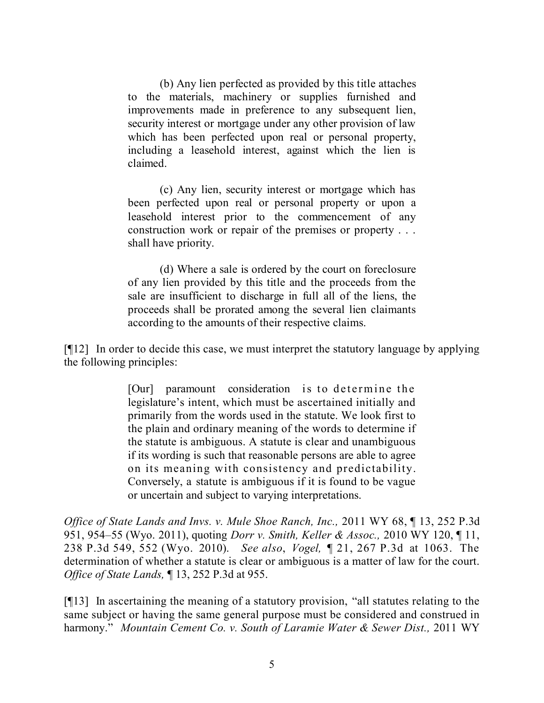(b) Any lien perfected as provided by this title attaches to the materials, machinery or supplies furnished and improvements made in preference to any subsequent lien, security interest or mortgage under any other provision of law which has been perfected upon real or personal property, including a leasehold interest, against which the lien is claimed.

(c) Any lien, security interest or mortgage which has been perfected upon real or personal property or upon a leasehold interest prior to the commencement of any construction work or repair of the premises or property . . . shall have priority.

(d) Where a sale is ordered by the court on foreclosure of any lien provided by this title and the proceeds from the sale are insufficient to discharge in full all of the liens, the proceeds shall be prorated among the several lien claimants according to the amounts of their respective claims.

[¶12] In order to decide this case, we must interpret the statutory language by applying the following principles:

> [Our] paramount consideration is to determine the legislature's intent, which must be ascertained initially and primarily from the words used in the statute. We look first to the plain and ordinary meaning of the words to determine if the statute is ambiguous. A statute is clear and unambiguous if its wording is such that reasonable persons are able to agree on its meaning with consistency and predictability. Conversely, a statute is ambiguous if it is found to be vague or uncertain and subject to varying interpretations.

*Office of State Lands and Invs. v. Mule Shoe Ranch, Inc.,* 2011 WY 68, ¶ 13, 252 P.3d 951, 954–55 (Wyo. 2011), quoting *Dorr v. Smith, Keller & Assoc.,* 2010 WY 120, ¶ 11, 238 P.3d 549, 552 (Wyo. 2010). *See also*, *Vogel,* ¶ 21, 267 P.3d at 1063. The determination of whether a statute is clear or ambiguous is a matter of law for the court. *Office of State Lands,* ¶ 13, 252 P.3d at 955.

[¶13] In ascertaining the meaning of a statutory provision, "all statutes relating to the same subject or having the same general purpose must be considered and construed in harmony." *Mountain Cement Co. v. South of Laramie Water & Sewer Dist.,* 2011 WY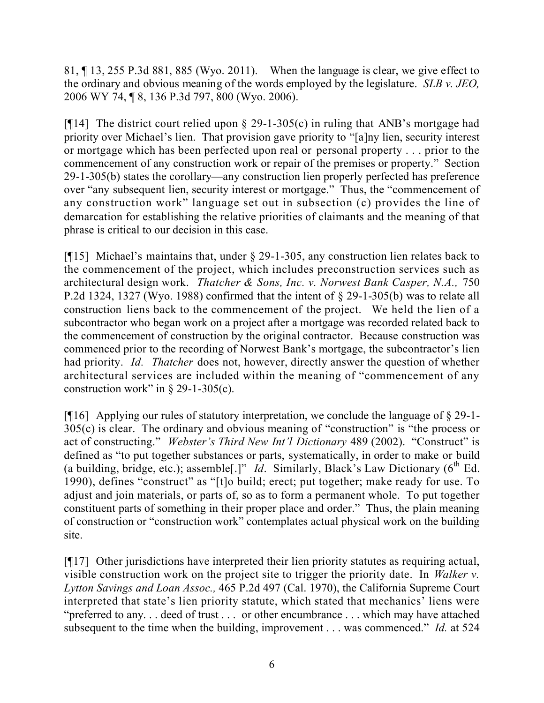81, ¶ 13, 255 P.3d 881, 885 (Wyo. 2011). When the language is clear, we give effect to the ordinary and obvious meaning of the words employed by the legislature. *SLB v. JEO,*  2006 WY 74, ¶ 8, 136 P.3d 797, 800 (Wyo. 2006).

[ $[14]$ ] The district court relied upon  $\S$  29-1-305(c) in ruling that ANB's mortgage had priority over Michael's lien. That provision gave priority to "[a]ny lien, security interest or mortgage which has been perfected upon real or personal property . . . prior to the commencement of any construction work or repair of the premises or property." Section 29-1-305(b) states the corollary—any construction lien properly perfected has preference over "any subsequent lien, security interest or mortgage." Thus, the "commencement of any construction work" language set out in subsection (c) provides the line of demarcation for establishing the relative priorities of claimants and the meaning of that phrase is critical to our decision in this case.

[¶15] Michael's maintains that, under § 29-1-305, any construction lien relates back to the commencement of the project, which includes preconstruction services such as architectural design work. *Thatcher & Sons, Inc. v. Norwest Bank Casper, N.A.,* 750 P.2d 1324, 1327 (Wyo. 1988) confirmed that the intent of § 29-1-305(b) was to relate all construction liens back to the commencement of the project. We held the lien of a subcontractor who began work on a project after a mortgage was recorded related back to the commencement of construction by the original contractor. Because construction was commenced prior to the recording of Norwest Bank's mortgage, the subcontractor's lien had priority. *Id. Thatcher* does not, however, directly answer the question of whether architectural services are included within the meaning of "commencement of any construction work" in  $\S$  29-1-305(c).

[¶16] Applying our rules of statutory interpretation, we conclude the language of § 29-1- 305(c) is clear. The ordinary and obvious meaning of "construction" is "the process or act of constructing." *Webster's Third New Int'l Dictionary* 489 (2002). "Construct" is defined as "to put together substances or parts, systematically, in order to make or build (a building, bridge, etc.); assemble<sup>[1]</sup> *Id.* Similarly, Black's Law Dictionary ( $6<sup>th</sup>$  Ed.) 1990), defines "construct" as "[t]o build; erect; put together; make ready for use. To adjust and join materials, or parts of, so as to form a permanent whole. To put together constituent parts of something in their proper place and order." Thus, the plain meaning of construction or "construction work" contemplates actual physical work on the building site.

[¶17] Other jurisdictions have interpreted their lien priority statutes as requiring actual, visible construction work on the project site to trigger the priority date. In *Walker v. Lytton Savings and Loan Assoc.,* 465 P.2d 497 (Cal. 1970), the California Supreme Court interpreted that state's lien priority statute, which stated that mechanics' liens were "preferred to any. . . deed of trust . . . or other encumbrance . . . which may have attached subsequent to the time when the building, improvement . . . was commenced." *Id.* at 524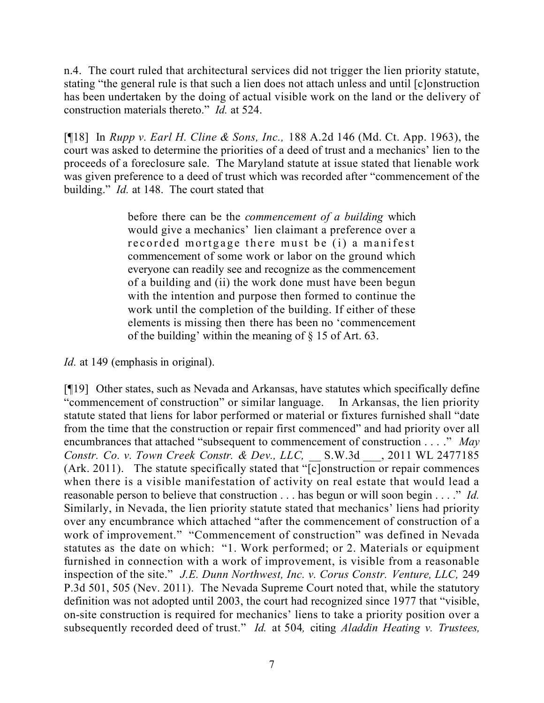n.4. The court ruled that architectural services did not trigger the lien priority statute, stating "the general rule is that such a lien does not attach unless and until [c]onstruction has been undertaken by the doing of actual visible work on the land or the delivery of construction materials thereto." *Id.* at 524.

[¶18] In *Rupp v. Earl H. Cline & Sons, Inc.,* 188 A.2d 146 (Md. Ct. App. 1963), the court was asked to determine the priorities of a deed of trust and a mechanics' lien to the proceeds of a foreclosure sale. The Maryland statute at issue stated that lienable work was given preference to a deed of trust which was recorded after "commencement of the building." *Id.* at 148. The court stated that

> before there can be the *commencement of a building* which would give a mechanics' lien claimant a preference over a recorded mortgage there must be (i) a manifest commencement of some work or labor on the ground which everyone can readily see and recognize as the commencement of a building and (ii) the work done must have been begun with the intention and purpose then formed to continue the work until the completion of the building. If either of these elements is missing then there has been no 'commencement of the building' within the meaning of § 15 of Art. 63.

*Id.* at 149 (emphasis in original).

[¶19] Other states, such as Nevada and Arkansas, have statutes which specifically define "commencement of construction" or similar language. In Arkansas, the lien priority statute stated that liens for labor performed or material or fixtures furnished shall "date from the time that the construction or repair first commenced" and had priority over all encumbrances that attached "subsequent to commencement of construction . . . ." *May Constr. Co. v. Town Creek Constr. & Dev., LLC,* \_\_ S.W.3d \_\_\_, 2011 WL 2477185 (Ark. 2011). The statute specifically stated that "[c]onstruction or repair commences when there is a visible manifestation of activity on real estate that would lead a reasonable person to believe that construction . . . has begun or will soon begin . . . ." *Id.* Similarly, in Nevada, the lien priority statute stated that mechanics' liens had priority over any encumbrance which attached "after the commencement of construction of a work of improvement." "Commencement of construction" was defined in Nevada statutes as the date on which: "1. Work performed; or 2. Materials or equipment furnished in connection with a work of improvement, is visible from a reasonable inspection of the site." *J.E. Dunn Northwest, Inc. v. Corus Constr. Venture, LLC,* 249 P.3d 501, 505 (Nev. 2011). The Nevada Supreme Court noted that, while the statutory definition was not adopted until 2003, the court had recognized since 1977 that "visible, on-site construction is required for mechanics' liens to take a priority position over a subsequently recorded deed of trust." *Id.* at 504*,* citing *Aladdin Heating v. Trustees,*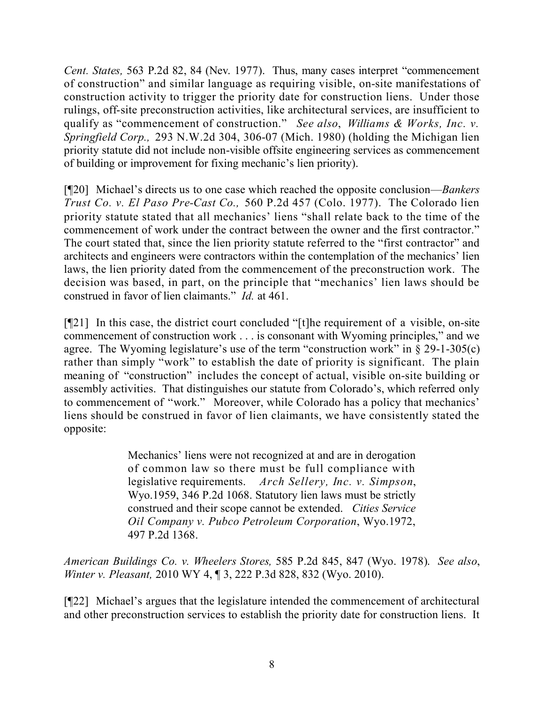*Cent. States,* 563 P.2d 82, 84 (Nev. 1977). Thus, many cases interpret "commencement of construction" and similar language as requiring visible, on-site manifestations of construction activity to trigger the priority date for construction liens. Under those rulings, off-site preconstruction activities, like architectural services, are insufficient to qualify as "commencement of construction." *See also*, *Williams & Works, Inc. v. Springfield Corp.,* 293 N.W.2d 304, 306-07 (Mich. 1980) (holding the Michigan lien priority statute did not include non-visible offsite engineering services as commencement of building or improvement for fixing mechanic's lien priority).

[¶20] Michael's directs us to one case which reached the opposite conclusion—*Bankers Trust Co. v. El Paso Pre-Cast Co.,* 560 P.2d 457 (Colo. 1977). The Colorado lien priority statute stated that all mechanics' liens "shall relate back to the time of the commencement of work under the contract between the owner and the first contractor." The court stated that, since the lien priority statute referred to the "first contractor" and architects and engineers were contractors within the contemplation of the mechanics' lien laws, the lien priority dated from the commencement of the preconstruction work. The decision was based, in part, on the principle that "mechanics' lien laws should be construed in favor of lien claimants." *Id.* at 461.

[¶21] In this case, the district court concluded "[t]he requirement of a visible, on-site commencement of construction work . . . is consonant with Wyoming principles," and we agree. The Wyoming legislature's use of the term "construction work" in  $\S$  29-1-305(c) rather than simply "work" to establish the date of priority is significant. The plain meaning of "construction" includes the concept of actual, visible on-site building or assembly activities. That distinguishes our statute from Colorado's, which referred only to commencement of "work." Moreover, while Colorado has a policy that mechanics' liens should be construed in favor of lien claimants, we have consistently stated the opposite:

> Mechanics' liens were not recognized at and are in derogation of common law so there must be full compliance with legislative requirements. *Arch Sellery, Inc. v. Simpson*, Wyo.1959, 346 P.2d 1068. Statutory lien laws must be strictly construed and their scope cannot be extended. *Cities Service Oil Company v. Pubco Petroleum Corporation*, Wyo.1972, 497 P.2d 1368.

*American Buildings Co. v. Wheelers Stores,* 585 P.2d 845, 847 (Wyo. 1978). *See also*, *Winter v. Pleasant,* 2010 WY 4, ¶ 3, 222 P.3d 828, 832 (Wyo. 2010).

[¶22] Michael's argues that the legislature intended the commencement of architectural and other preconstruction services to establish the priority date for construction liens. It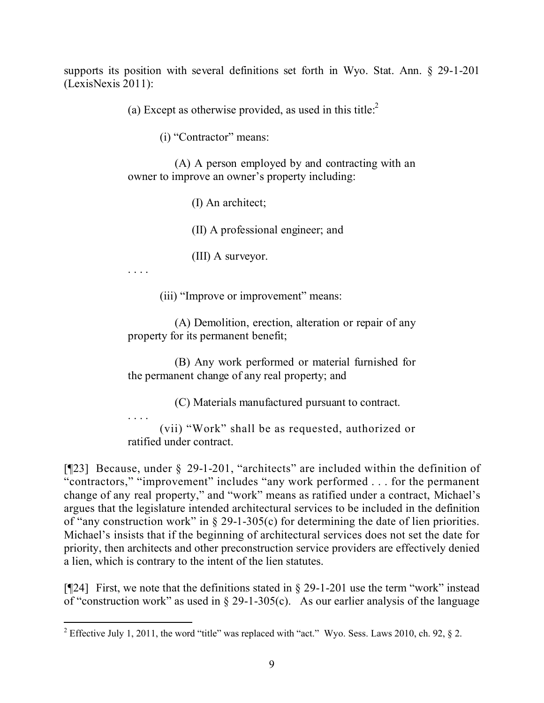supports its position with several definitions set forth in Wyo. Stat. Ann. § 29-1-201 (LexisNexis 2011):

(a) Except as otherwise provided, as used in this title: $2^2$ 

(i) "Contractor" means:

(A) A person employed by and contracting with an owner to improve an owner's property including:

(I) An architect;

(II) A professional engineer; and

(III) A surveyor.

. . . .

(iii) "Improve or improvement" means:

(A) Demolition, erection, alteration or repair of any property for its permanent benefit;

(B) Any work performed or material furnished for the permanent change of any real property; and

(C) Materials manufactured pursuant to contract.

. . . .

(vii) "Work" shall be as requested, authorized or ratified under contract.

[¶23] Because, under § 29-1-201, "architects" are included within the definition of "contractors," "improvement" includes "any work performed . . . for the permanent change of any real property," and "work" means as ratified under a contract, Michael's argues that the legislature intended architectural services to be included in the definition of "any construction work" in § 29-1-305(c) for determining the date of lien priorities. Michael's insists that if the beginning of architectural services does not set the date for priority, then architects and other preconstruction service providers are effectively denied a lien, which is contrary to the intent of the lien statutes.

[¶24] First, we note that the definitions stated in § 29-1-201 use the term "work" instead of "construction work" as used in  $\S$  29-1-305(c). As our earlier analysis of the language

 <sup>2</sup> Effective July 1, 2011, the word "title" was replaced with "act." Wyo. Sess. Laws 2010, ch. 92,  $\S$  2.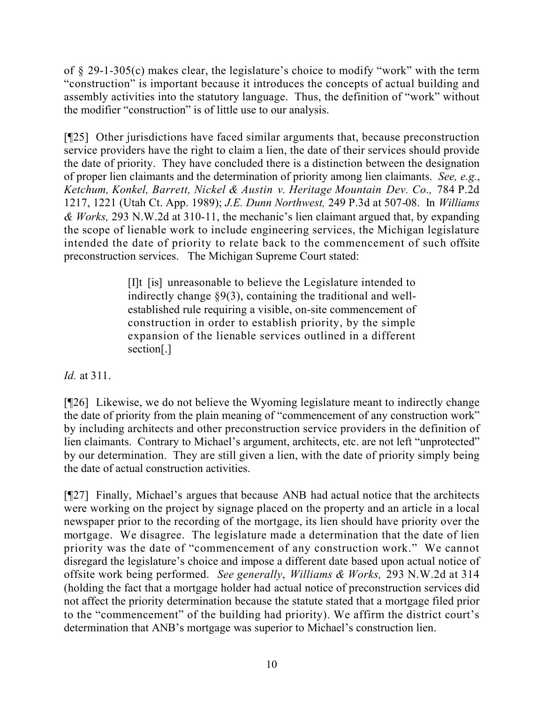of § 29-1-305(c) makes clear, the legislature's choice to modify "work" with the term "construction" is important because it introduces the concepts of actual building and assembly activities into the statutory language. Thus, the definition of "work" without the modifier "construction" is of little use to our analysis.

[¶25] Other jurisdictions have faced similar arguments that, because preconstruction service providers have the right to claim a lien, the date of their services should provide the date of priority. They have concluded there is a distinction between the designation of proper lien claimants and the determination of priority among lien claimants. *See, e.g.*, *Ketchum, Konkel, Barrett, Nickel & Austin v. Heritage Mountain Dev. Co.,* 784 P.2d 1217, 1221 (Utah Ct. App. 1989); *J.E. Dunn Northwest,* 249 P.3d at 507-08. In *Williams & Works,* 293 N.W.2d at 310-11, the mechanic's lien claimant argued that, by expanding the scope of lienable work to include engineering services, the Michigan legislature intended the date of priority to relate back to the commencement of such offsite preconstruction services. The Michigan Supreme Court stated:

> [I]t [is] unreasonable to believe the Legislature intended to indirectly change §9(3), containing the traditional and wellestablished rule requiring a visible, on-site commencement of construction in order to establish priority, by the simple expansion of the lienable services outlined in a different section[.]

*Id.* at 311.

[¶26] Likewise, we do not believe the Wyoming legislature meant to indirectly change the date of priority from the plain meaning of "commencement of any construction work" by including architects and other preconstruction service providers in the definition of lien claimants. Contrary to Michael's argument, architects, etc. are not left "unprotected" by our determination. They are still given a lien, with the date of priority simply being the date of actual construction activities.

[¶27] Finally, Michael's argues that because ANB had actual notice that the architects were working on the project by signage placed on the property and an article in a local newspaper prior to the recording of the mortgage, its lien should have priority over the mortgage. We disagree. The legislature made a determination that the date of lien priority was the date of "commencement of any construction work." We cannot disregard the legislature's choice and impose a different date based upon actual notice of offsite work being performed. *See generally*, *Williams & Works,* 293 N.W.2d at 314 (holding the fact that a mortgage holder had actual notice of preconstruction services did not affect the priority determination because the statute stated that a mortgage filed prior to the "commencement" of the building had priority). We affirm the district court's determination that ANB's mortgage was superior to Michael's construction lien.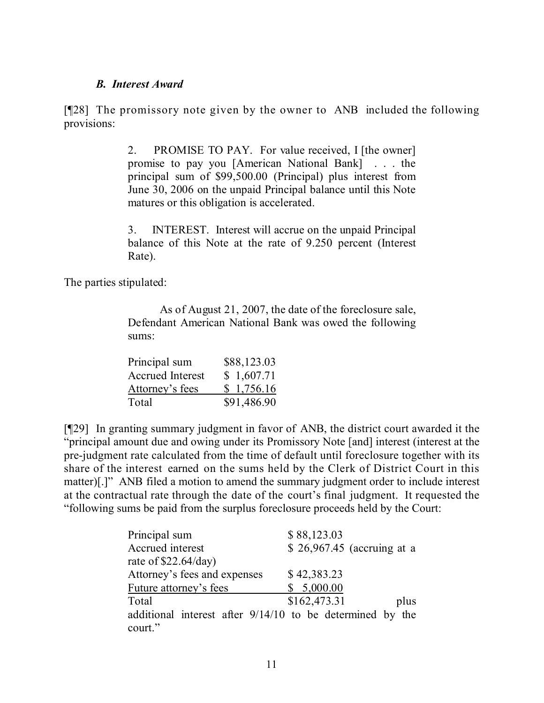#### *B. Interest Award*

[¶28] The promissory note given by the owner to ANB included the following provisions:

> 2. PROMISE TO PAY. For value received, I [the owner] promise to pay you [American National Bank] . . . the principal sum of \$99,500.00 (Principal) plus interest from June 30, 2006 on the unpaid Principal balance until this Note matures or this obligation is accelerated.

> 3. INTEREST. Interest will accrue on the unpaid Principal balance of this Note at the rate of 9.250 percent (Interest Rate).

The parties stipulated:

As of August 21, 2007, the date of the foreclosure sale, Defendant American National Bank was owed the following sums:

| Principal sum           | \$88,123.03 |
|-------------------------|-------------|
| <b>Accrued Interest</b> | \$1,607.71  |
| Attorney's fees         | \$1,756.16  |
| Total                   | \$91,486.90 |

[¶29] In granting summary judgment in favor of ANB, the district court awarded it the "principal amount due and owing under its Promissory Note [and] interest (interest at the pre-judgment rate calculated from the time of default until foreclosure together with its share of the interest earned on the sums held by the Clerk of District Court in this matter)[.]" ANB filed a motion to amend the summary judgment order to include interest at the contractual rate through the date of the court's final judgment. It requested the "following sums be paid from the surplus foreclosure proceeds held by the Court:

| Principal sum                                             | \$88,123.03                 |
|-----------------------------------------------------------|-----------------------------|
| Accrued interest                                          | \$ 26,967.45 (accruing at a |
| rate of $$22.64/day)$                                     |                             |
| Attorney's fees and expenses                              | \$42,383.23                 |
| Future attorney's fees                                    | \$5,000.00                  |
| Total                                                     | \$162,473.31<br>plus        |
| additional interest after 9/14/10 to be determined by the |                             |
| court."                                                   |                             |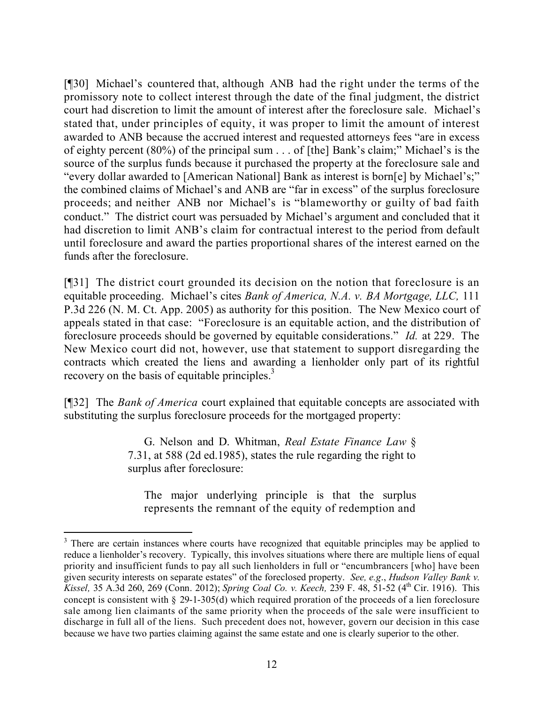[¶30] Michael's countered that, although ANB had the right under the terms of the promissory note to collect interest through the date of the final judgment, the district court had discretion to limit the amount of interest after the foreclosure sale. Michael's stated that, under principles of equity, it was proper to limit the amount of interest awarded to ANB because the accrued interest and requested attorneys fees "are in excess of eighty percent (80%) of the principal sum . . . of [the] Bank's claim;" Michael's is the source of the surplus funds because it purchased the property at the foreclosure sale and "every dollar awarded to [American National] Bank as interest is born[e] by Michael's;" the combined claims of Michael's and ANB are "far in excess" of the surplus foreclosure proceeds; and neither ANB nor Michael's is "blameworthy or guilty of bad faith conduct." The district court was persuaded by Michael's argument and concluded that it had discretion to limit ANB's claim for contractual interest to the period from default until foreclosure and award the parties proportional shares of the interest earned on the funds after the foreclosure.

[¶31] The district court grounded its decision on the notion that foreclosure is an equitable proceeding. Michael's cites *Bank of America, N.A. v. BA Mortgage, LLC,* 111 P.3d 226 (N. M. Ct. App. 2005) as authority for this position. The New Mexico court of appeals stated in that case: "Foreclosure is an equitable action, and the distribution of foreclosure proceeds should be governed by equitable considerations." *Id.* at 229. The New Mexico court did not, however, use that statement to support disregarding the contracts which created the liens and awarding a lienholder only part of its rightful recovery on the basis of equitable principles.<sup>3</sup>

[¶32] The *Bank of America* court explained that equitable concepts are associated with substituting the surplus foreclosure proceeds for the mortgaged property:

> G. Nelson and D. Whitman, *Real Estate Finance Law* § 7.31, at 588 (2d ed.1985), states the rule regarding the right to surplus after foreclosure:

The major underlying principle is that the surplus represents the remnant of the equity of redemption and

 $\overline{a}$ 

<sup>&</sup>lt;sup>3</sup> There are certain instances where courts have recognized that equitable principles may be applied to reduce a lienholder's recovery. Typically, this involves situations where there are multiple liens of equal priority and insufficient funds to pay all such lienholders in full or "encumbrancers [who] have been given security interests on separate estates" of the foreclosed property. *See, e.g*., *Hudson Valley Bank v. Kissel,* 35 A.3d 260, 269 (Conn. 2012); *Spring Coal Co. v. Keech,* 239 F. 48, 51-52 (4 th Cir. 1916). This concept is consistent with § 29-1-305(d) which required proration of the proceeds of a lien foreclosure sale among lien claimants of the same priority when the proceeds of the sale were insufficient to discharge in full all of the liens. Such precedent does not, however, govern our decision in this case because we have two parties claiming against the same estate and one is clearly superior to the other.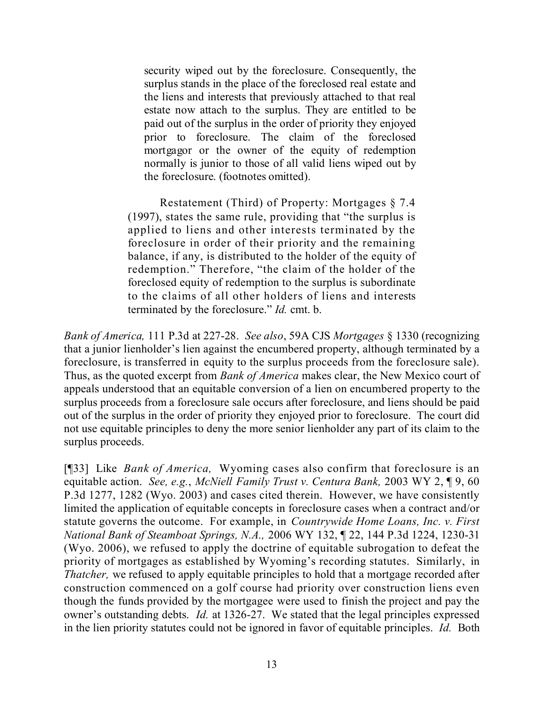security wiped out by the foreclosure. Consequently, the surplus stands in the place of the foreclosed real estate and the liens and interests that previously attached to that real estate now attach to the surplus. They are entitled to be paid out of the surplus in the order of priority they enjoyed prior to foreclosure. The claim of the foreclosed mortgagor or the owner of the equity of redemption normally is junior to those of all valid liens wiped out by the foreclosure. (footnotes omitted).

Restatement (Third) of Property: Mortgages § 7.4 (1997), states the same rule, providing that "the surplus is applied to liens and other interests terminated by the foreclosure in order of their priority and the remaining balance, if any, is distributed to the holder of the equity of redemption." Therefore, "the claim of the holder of the foreclosed equity of redemption to the surplus is subordinate to the claims of all other holders of liens and interests terminated by the foreclosure." *Id.* cmt. b.

*Bank of America,* 111 P.3d at 227-28. *See also*, 59A CJS *Mortgages* § 1330 (recognizing that a junior lienholder's lien against the encumbered property, although terminated by a foreclosure, is transferred in equity to the surplus proceeds from the foreclosure sale). Thus, as the quoted excerpt from *Bank of America* makes clear, the New Mexico court of appeals understood that an equitable conversion of a lien on encumbered property to the surplus proceeds from a foreclosure sale occurs after foreclosure, and liens should be paid out of the surplus in the order of priority they enjoyed prior to foreclosure. The court did not use equitable principles to deny the more senior lienholder any part of its claim to the surplus proceeds.

[¶33] Like *Bank of America,* Wyoming cases also confirm that foreclosure is an equitable action. *See, e.g.*, *McNiell Family Trust v. Centura Bank,* 2003 WY 2, ¶ 9, 60 P.3d 1277, 1282 (Wyo. 2003) and cases cited therein. However, we have consistently limited the application of equitable concepts in foreclosure cases when a contract and/or statute governs the outcome. For example, in *Countrywide Home Loans, Inc. v. First National Bank of Steamboat Springs, N.A.,* 2006 WY 132, ¶ 22, 144 P.3d 1224, 1230-31 (Wyo. 2006), we refused to apply the doctrine of equitable subrogation to defeat the priority of mortgages as established by Wyoming's recording statutes. Similarly, in *Thatcher*, we refused to apply equitable principles to hold that a mortgage recorded after construction commenced on a golf course had priority over construction liens even though the funds provided by the mortgagee were used to finish the project and pay the owner's outstanding debts. *Id.* at 1326-27. We stated that the legal principles expressed in the lien priority statutes could not be ignored in favor of equitable principles. *Id.* Both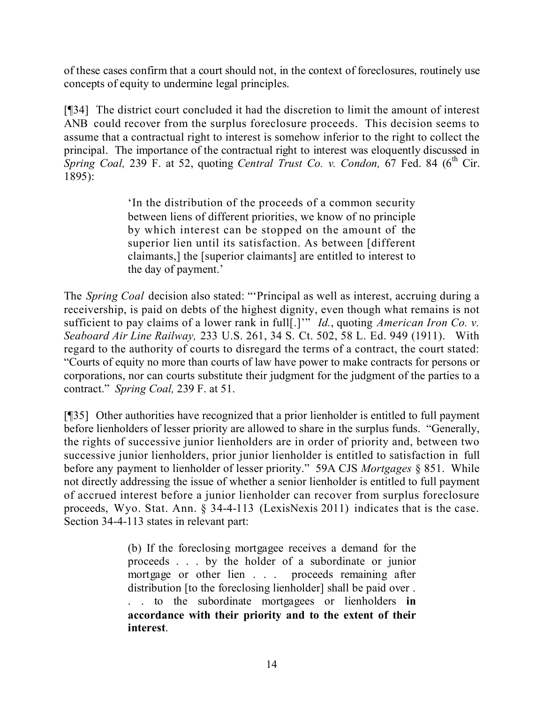of these cases confirm that a court should not, in the context of foreclosures, routinely use concepts of equity to undermine legal principles.

[¶34] The district court concluded it had the discretion to limit the amount of interest ANB could recover from the surplus foreclosure proceeds. This decision seems to assume that a contractual right to interest is somehow inferior to the right to collect the principal. The importance of the contractual right to interest was eloquently discussed in *Spring Coal,* 239 F. at 52, quoting *Central Trust Co. v. Condon,* 67 Fed. 84 (6 th Cir. 1895):

> 'In the distribution of the proceeds of a common security between liens of different priorities, we know of no principle by which interest can be stopped on the amount of the superior lien until its satisfaction. As between [different claimants,] the [superior claimants] are entitled to interest to the day of payment.'

The *Spring Coal* decision also stated: "'Principal as well as interest, accruing during a receivership, is paid on debts of the highest dignity, even though what remains is not sufficient to pay claims of a lower rank in full[.]'" *Id.*, quoting *American Iron Co. v. Seaboard Air Line Railway,* 233 U.S. 261, 34 S. Ct. 502, 58 L. Ed. 949 (1911). With regard to the authority of courts to disregard the terms of a contract, the court stated: "Courts of equity no more than courts of law have power to make contracts for persons or corporations, nor can courts substitute their judgment for the judgment of the parties to a contract." *Spring Coal,* 239 F. at 51.

[¶35] Other authorities have recognized that a prior lienholder is entitled to full payment before lienholders of lesser priority are allowed to share in the surplus funds. "Generally, the rights of successive junior lienholders are in order of priority and, between two successive junior lienholders, prior junior lienholder is entitled to satisfaction in full before any payment to lienholder of lesser priority." 59A CJS *Mortgages* § 851. While not directly addressing the issue of whether a senior lienholder is entitled to full payment of accrued interest before a junior lienholder can recover from surplus foreclosure proceeds, Wyo. Stat. Ann. § 34-4-113 (LexisNexis 2011) indicates that is the case. Section 34-4-113 states in relevant part:

> (b) If the foreclosing mortgagee receives a demand for the proceeds . . . by the holder of a subordinate or junior mortgage or other lien . . . proceeds remaining after distribution [to the foreclosing lienholder] shall be paid over . . . to the subordinate mortgagees or lienholders **in accordance with their priority and to the extent of their interest**.